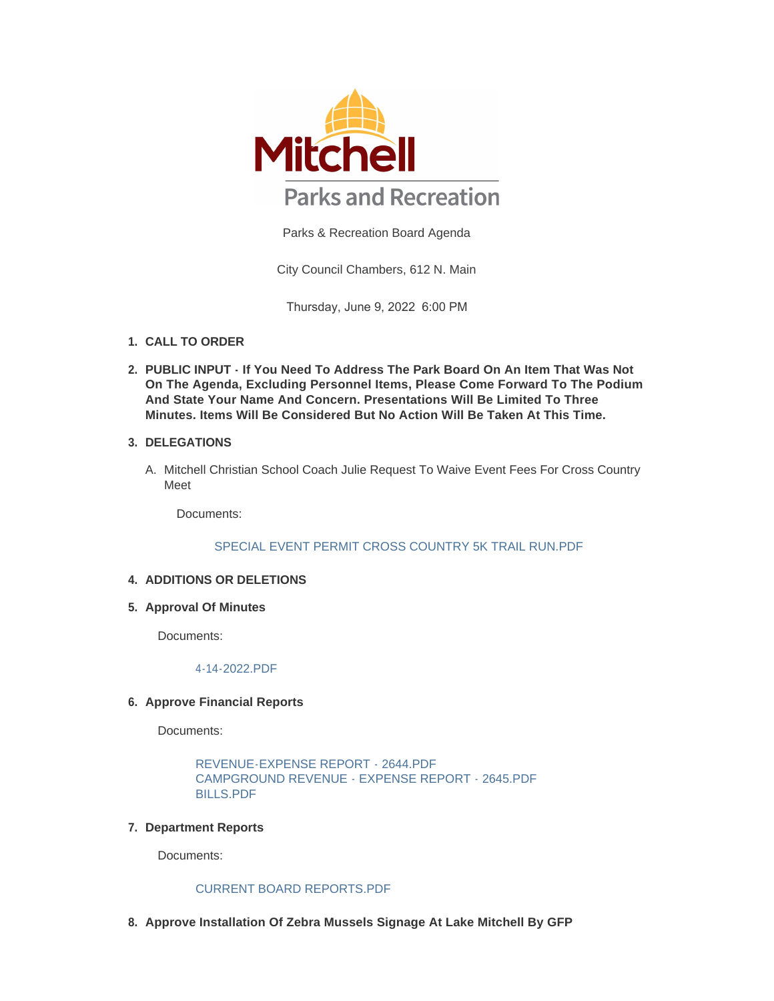

Parks & Recreation Board Agenda

City Council Chambers, 612 N. Main

Thursday, June 9, 2022 6:00 PM

- **CALL TO ORDER 1.**
- **PUBLIC INPUT If You Need To Address The Park Board On An Item That Was Not 2. On The Agenda, Excluding Personnel Items, Please Come Forward To The Podium And State Your Name And Concern. Presentations Will Be Limited To Three Minutes. Items Will Be Considered But No Action Will Be Taken At This Time.**

## **DELEGATIONS 3.**

A. Mitchell Christian School Coach Julie Request To Waive Event Fees For Cross Country Meet

Documents:

### [SPECIAL EVENT PERMIT CROSS COUNTRY 5K TRAIL RUN.PDF](https://www.cityofmitchell.org/AgendaCenter/ViewFile/Item/13799?fileID=19860)

## **4. ADDITIONS OR DELETIONS**

**Approval Of Minutes 5.**

Documents:

[4-14-2022.PDF](https://www.cityofmitchell.org/AgendaCenter/ViewFile/Item/13926?fileID=19864)

### **Approve Financial Reports 6.**

Documents:

```
REVENUE-EXPENSE REPORT - 2644.PDF
CAMPGROUND REVENUE - EXPENSE REPORT - 2645.PDF
BILLS.PDF
```
# **Department Reports 7.**

Documents:

### [CURRENT BOARD REPORTS.PDF](https://www.cityofmitchell.org/AgendaCenter/ViewFile/Item/13922?fileID=19861)

**Approve Installation Of Zebra Mussels Signage At Lake Mitchell By GFP 8.**